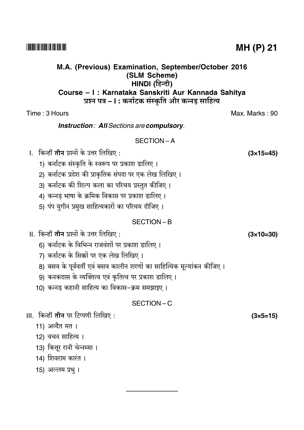M.A. (Previous) Examination, September/October 2016 (SLM Scheme) HINDI (हिन्दी) Course - I : Karnataka Sanskriti Aur Kannada Sahitva प्रश्न पत्र – l : कर्नाटक संस्कृति और कन्नड़ साहित्य

#### Time: 3 Hours

**Instruction: All Sections are compulsory.** 

#### SECTION-A

।. किन्हीं **तीन** प्रश्नों के उत्तर लिखिए :

- 1) कर्नाटक संस्कृति के स्वरूप पर प्रकाश डालिए।
- 2) कर्नाटक प्रदेश की प्राकृतिक संपदा पर एक लेख लिखिए।
- 3) कर्नाटक की शिल्प कला का परिचय प्रस्तुत कीजिए।
- 4) कन्नड भाषा के क्रमिक विकास पर प्रकाश डालिए।
- 5) पंप युगीन प्रमुख साहित्यकारों का परिचय दीजिए।

#### SECTION-B

- II. किन्हीं **तीन** प्रश्नों के उत्तर लिखिए :
	- 6) कर्नाटक के विभिन्न राजवंशों पर प्रकाश डालिए ।
	- 7) कर्नाटक के सिक्कों पर एक लेख लिखिए।
	- 8) बसव के पर्ववर्ती एवं बसव कालीन शरणों का साहित्यिक मुल्यांकन कीजिए ।
	- 9) कनकदास के व्यक्तित्व एवं कृतित्व पर प्रकाश डालिए।
	- 10) कन्नड कहानी साहित्य का विकास-क्रम समझाइए ।

#### SECTION-C

III. किन्हीं **तीन** पर टिप्पणी लिखिए:

- 11) अव्दैत मत।
- 12) वचन साहित्य ।
- 13) कित्तूर रानी चेन्नम्मा ।
- 14) शिवराम कारंत ।
- 15) अल्लम प्रभु ।

**MH (P) 21** 

Max. Marks: 90

 $(3\times15=45)$ 

 $(3\times10=30)$ 

 $(3 \times 5 = 15)$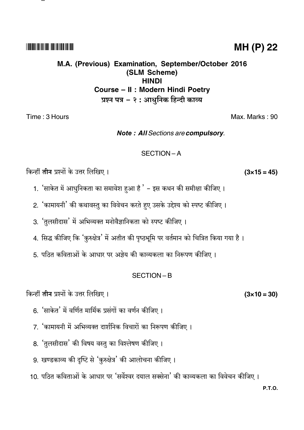#### **TIONICAL INITIAL IN TELEVISION IN TELEVISION**

# M.A. (Previous) Examination, September/October 2016 (SLM Scheme) **HINDI** Course - II : Modern Hindi Poetry प्रश्न पत्र – २ : आधुनिक हिन्दी काव्य

Time: 3 Hours

**Note: All Sections are compulsory.** 

#### SECTION-A

किन्हीं **तीन** प्रश्नों के उत्तर लिखिए।

- 1. 'साकेत में आधुनिकता का समावेश हुआ है ' इस कथन की समीक्षा कीजिए ।
- 2. 'कामायनी' की कथावस्तु का विवेचन करते हुए उसके उद्देश्य को स्पष्ट कीजिए ।
- 3. 'तुलसीदास' में अभिव्यक्त मनोवैज्ञानिकता को स्पष्ट कीजिए।
- 4. सिद्ध कीजिए कि 'कुरुक्षेत्र' में अतीत की पृष्ठभूमि पर वर्तमान को चित्रित किया गया है।
- 5. पठित कविताओं के आधार पर अज्ञेय की काव्यकला का निरूपण कीजिए ।

#### SECTION-B

किन्हीं **तीन** प्रश्नों के उत्तर लिखिए।

- 6. 'साकेत' में वर्णित मार्मिक प्रसंगों का वर्णन कीजिए।
- 7. 'कामायनी में अभिव्यक्त दार्शनिक विचारों का निरूपण कीजिए ।
- 8. 'तुलसीदास' की विषय वस्तु का विश्लेषण कीजिए।
- 9. खण्डकाव्य की दृष्टि से 'कुरुक्षेत्र' की आलोचना कीजिए।
- 10. पठित कविताओं के आधार पर 'सर्वेश्वर दयाल सक्सेना' की काव्यकला का विवेचन कीजिए ।

# **MH (P) 22**

Max. Marks: 90

 $(3 \times 10 = 30)$ 

 $(3 \times 15 = 45)$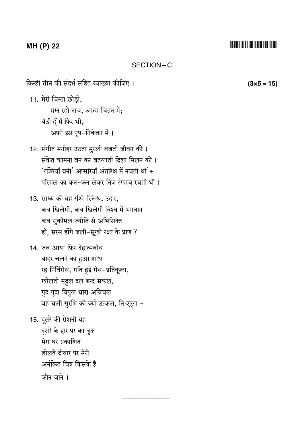# MH (P) 22

#### SECTION-C

किन्हीं **तीन** की संदर्भ सहित व्याख्या कीजिए ।

11. मेरी चिन्ता छोड़ो, मग्न रहो नाच, आत्म चिंतन में; बैठी हूँ मैं फिर भी, अपने इस नृप-निकेतन में ।

- 12. संगीत मनोहर उठता मुरली बजती जीवन की । संकेत कामना बन कर बतलाती दिशा मिलन की। 'रश्मियाँ बनी' अप्सरियाँ अंतरिक्ष में नचती थी'÷ परिमल का कन-कन लेकर निज रंगमंच रचती थी।
- 13. साध्य की वह रश्मि स्निग्ध, उदार, कब खिलेगी, कब खिलेगी विश्व में भगवान कब सुकोमल ज्योति से अभिसिक्त हो, सरस होंगे जली-सूखी रक्षा के प्राण ?
- 14. जब आया फिर देहात्मबोध बाहर चलने का हुआ शोध रह निर्विरोध, गति हुई रोध-प्रतिकूला, खोलती मृदुल दल बन्द सकल, गुद गुदा विपुल धारा अविचल बह चली सुरभि की ज्यों उत्कल, निःशूला -

15. दूसरे की रोशनी यह दूसरे के द्वार पर का वृक्ष मेरा घर प्रकाशित डोलते दीवार पर मेरी अनंकित चित्र किसके है कौन जाने ।

 $(3x5 = 15)$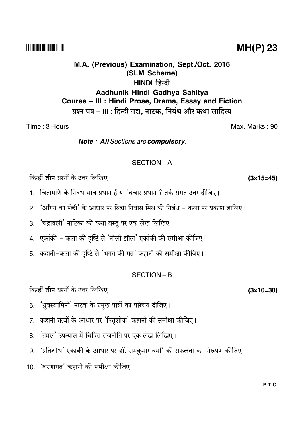#### **THEFT IN THE REAL PROPERTY**

# M.A. (Previous) Examination, Sept./Oct. 2016 (SLM Scheme) HINDI हिन्दी Aadhunik Hindi Gadhya Sahitya Course - III : Hindi Prose, Drama, Essay and Fiction प्रश्न पत्र – III : हिन्दी गद्य. नाटक. निबंध और कथा साहित्य

Time: 3 Hours

Note: All Sections are compulsory.

#### $SFCITION - A$

किन्हीं तीन प्रश्नों के उत्तर लिखिए।

- 1. चिंतामणि के निबंध भाव प्रधान हैं या विचार प्रधान ? तर्क संगत उत्तर दीजिए।
- 2. 'आँगन का पंछी' के आधार पर विद्या निवास मिश्र की निबंध कला पर प्रकाश डालिए।
- 3. 'चंद्रावली' नाटिका की कथा वस्तु पर एक लेख लिखिए।
- 4. एकांकी कला की दृष्टि से 'नीली झील' एकांकी की समीक्षा कीजिए।
- 5. कहानी-कला की दृष्टि से 'भगत की गत' कहानी की समीक्षा कीजिए।

#### SECTION-B

किन्हीं **तीन** प्रश्नों के उत्तर लिखिए।

- 6. 'ध्रुवस्वामिनी' नाटक के प्रमुख पात्रों का परिचय दीजिए।
- 7. कहानी तत्वों के आधार पर 'पितृशोक' कहानी की समीक्षा कीजिए।
- 8. 'तमस' उपन्यास में चित्रित राजनीति पर एक लेख लिखिए।
- 9. 'प्रतिशोध' एकांकी के आधार पर डॉ. रामकुमार वर्मा' की सफलता का निरूपण कीजिए।
- 10 'शरणागत' कहानी की समीक्षा कीजिए।

**PTO** 

 $MH(P)$  23

Max. Marks: 90

 $(3x15=45)$ 

 $(3\times10=30)$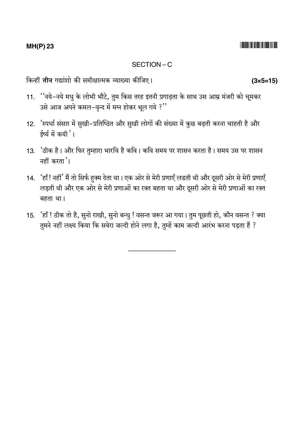## **MH(P) 23**

#### SECTION-C

किन्हीं **तीन** गद्यांशो की समीक्षात्मक व्याख्या कीजिए।

- 11. ''नये-नये मधु के लोभी भौटे, तुम किस तरह इतनी प्रगाढ़ता के साथ उस आम्र मंजरी को चूमकर उसे आज अपने कमल-वृन्द में मग्न होकर भूल गये ?"
- 12. 'स्पर्धा संसार में सुखी-प्रतिष्ठित और सुखी लोगों की संख्या में कुछ बढ़ती करना चाहती है और ईर्ष्य में कयी '।
- 13. 'ठीक है। और फिर तुम्हारा भारवि है कवि। कवि समय पर शासन करता है। समय उस पर शासन नहीं करता '।
- 14. 'हाँ! नहीं' मैं तो सिर्फ हुक्म देता था। एक ओर से मेरी प्रणाएँ लडती थी और दूसरी ओर से मेरी प्रणाएँ लड़ती थी और एक ओर से मेरी प्रणाओं का रक्त बहता था और दूसरी ओर से मेरी प्रणाओं का रक्त बहता था।
- 15. 'हाँ ! ठीक तो है, सुनो राखी, सुनो बन्धु ! वसन्त जरूर आ गया। तुम पूछती हो, कौन वसन्त ? क्या तुमने नहीं लक्ष्य किया कि सवेरा जल्दी होने लगा है, तुम्हें काम जल्दी आरंभ करना पड़ता हैं ?

 $(3 \times 5 = 15)$ 

####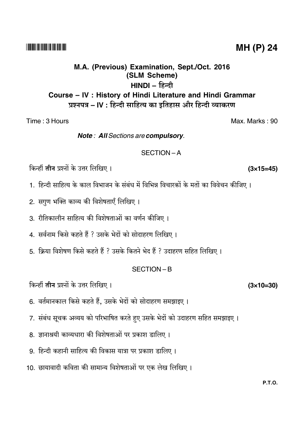# **P.T.O.**

# **MH (P) 24**

# M.A. (Previous) Examination, Sept./Oct. 2016 (SLM Scheme) HINDI – हिन्दी Course - IV : History of Hindi Literature and Hindi Grammar प्रश्नपत्र – IV : हिन्दी साहित्य का इतिहास और हिन्दी व्याकरण

Time: 3 Hours

Note: All Sections are compulsory.

#### SECTION-A

किन्हीं **तीन** प्रश्नों के उत्तर लिखिए।

1. हिन्दी साहित्य के काल विभाजन के संबंध में विभिन्न विचारकों के मतों का विवेचन कीजिए ।

2. सगुण भक्ति काव्य की विशेषताएँ लिखिए।

3. रीतिकालीन साहित्य की विशेषताओं का वर्णन कीजिए।

- 4. सर्वनाम किसे कहते हैं ? उसके भेदों को सोदाहरण लिखिए।
- 5. क्रिया विशेषण किसे कहते हैं ? उसके कितने भेद हैं ? उदाहरण सहित लिखिए ।

#### SECTION-B

किन्हीं **तीन** प्रश्नों के उत्तर लिखिए।

- 6. वर्तमानकाल किसे कहते हैं, उसके भेदों को सोदाहरण समझाइए।
- 7. संबंध सूचक अव्यय को परिभाषित करते हुए उसके भेदों को उदाहरण सहित समझाइए।
- 8. ज्ञानाश्रयी काव्यधारा की विशेषताओं पर प्रकाश डालिए ।
- 9. हिन्दी कहानी साहित्य की विकास यात्रा पर प्रकाश डालिए ।
- 10. छायावादी कविता की सामान्य विशेषताओं पर एक लेख लिखिए।

 $(3\times15=45)$ 

 $(3\times10=30)$ 

Max. Marks: 90

####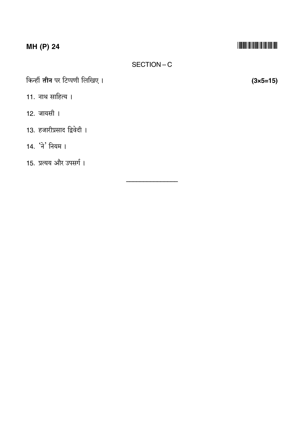# MH (P) 24

# 

## SECTION-C

किन्हीं **तीन** पर टिप्पणी लिखिए।

- 11. नाथ साहित्य ।
- 12. जायसी ।
- 13. हजारीप्रसाद द्विवेदी ।
- 14. 'ने' नियम ।

15. प्रत्यय और उपसर्ग।

 $(3 \times 5 = 15)$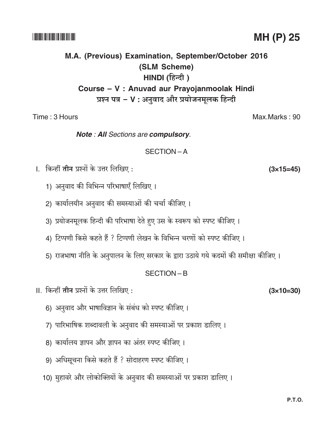Max.Marks: 90

# M.A. (Previous) Examination, September/October 2016 (SLM Scheme) HINDI (हिन्दी) Course - V : Anuvad aur Prayojanmoolak Hindi प्रश्न पत्र - V : अनुवाद और प्रयोजनमूलक हिन्दी

Time: 3 Hours

Note: All Sections are compulsory.

SECTION-A

- ।. किन्हीं **तीन** प्रश्नों के उत्तर लिखिए :
	- 1) अनुवाद की विभिन्न परिभाषाएँ लिखिए।
	- 2) कार्यालयीन अनुवाद की समस्याओं की चर्चा कीजिए ।
	- 3) प्रयोजनमूलक हिन्दी की परिभाषा देते हुए उस के स्वरूप को स्पष्ट कीजिए ।
	- 4) टिप्पणी किसे कहते हैं ? टिप्पणी लेखन के विभिन्न चरणों को स्पष्ट कीजिए।
	- 5) राजभाषा नीति के अनुपालन के लिए सरकार के द्वारा उठाये गये कदमों की समीक्षा कीजिए।

## $SFCITION - B$

- II. किन्हीं **तीन** प्रश्नों के उत्तर लिखिए :
	- 6) अनुवाद और भाषाविज्ञान के संबंध को स्पष्ट कीजिए।
	- 7) पारिभाषिक शब्दावली के अनुवाद की समस्याओं पर प्रकाश डालिए।
	- 8) कार्यालय ज्ञापन और ज्ञापन का अंतर स्पष्ट कीजिए।
	- 9) अधिसूचना किसे कहते हैं ? सोदाहरण स्पष्ट कीजिए।
	- 10) मुहावरे और लोकोक्तियों के अनुवाद की समस्याओं पर प्रकाश डालिए।

#### **P.T.O.**

**THEFT IN THE THEFT IN THE TIME** 

 $(3\times10=30)$ 

 $(3\times15=45)$ 

# MH (P) 25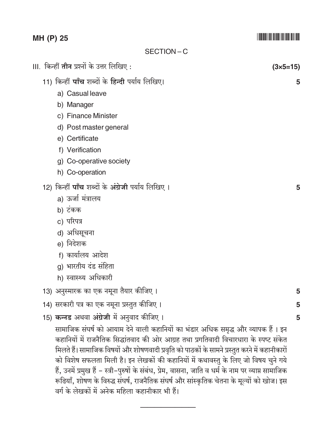# MH (P) 25

#### SECTION-C

III. किन्हीं **तीन** प्रश्नों के उत्तर लिखिए :

- 11) किन्हीं पाँच शब्दों के हिन्दी पर्याय लिखिए।
	- a) Casual leave
	- b) Manager
	- c) Finance Minister
	- d) Post master general
	- e) Certificate
	- f) Verification
	- g) Co-operative society
	- h) Co-operation
- 12) किन्हीं **पाँच** शब्दों के अंग्रेजी पर्याय लिखिए ।
	- a) ऊर्जा मंत्रालय
	- b) टंकक
	- c) परिपत्र
	- d) अधिसूचना
	- e) निदेशक
	- f) कार्यालय आदेश
	- g) भारतीय दंड संहिता
	- h) स्वास्थ्य अधिकारी
- 13) अनुस्मारक का एक नमूना तैयार कीजिए।
- 14) सरकारी पत्र का एक नमूना प्रस्तुत कीजिए।
- 15) कन्नड अथवा अंग्रेजी में अनुवाद कीजिए।

सामाजिक संघर्ष को आयाम देने वाली कहानियों का भंडार अधिक समद्ध और व्यापक हैं। इन कहानियों में राजनैतिक सिद्धांतवाद की ओर आग्रह तथा प्रगतिवादी विचारधारा के स्पष्ट संकेत मिलते हैं। सामाजिक विषयों और शोषणवादी प्रवृति को पाठकों के सामने प्रस्तुत करने में कहानीकारों को विशेष सफलता मिली है। इन लेखकों की कहानियों में कथावस्तु के लिए जो विषय चुने गये हैं, उनमें प्रमुख हैं – स्त्री–पुरुषों के संबंध, प्रेम, वासना, जाति व धर्म के नाम पर व्याप्त सामाजिक रूढियाँ, शोषण के विरुद्ध संघर्ष, राजनैतिक संघर्ष और सांस्कृतिक चेतना के मूल्यों को खोज। इस वर्ग के लेखकों में अनेक महिला कहानीकार भी हैं।

 $(3 \times 5 = 15)$ 

5

5

5 5

5

# <u> 1999 - An Dùbhlachd Ann an Dùbhlachd an Dùbhlachd ann an Dùbhlachd ann an Dùbhlachd ann an Dùbhlachd ann an Dù</u>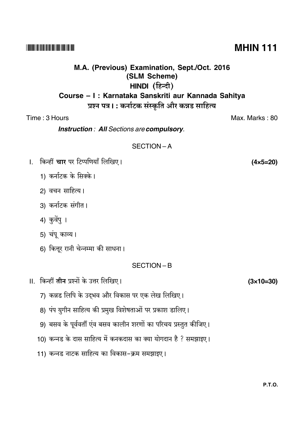#### --

# **M.A. (Previous) Examination, Sept./Oct. 2016 (SLM Scheme) HINDI** (हिन्दी) **Course – I : Karnataka Sanskriti aur Kannada Sahitya**

# प्रश्न पत्र। : कर्नाटक संस्कृति और कन्नड साहित्य

## Time : 3 Hours Max. Marks : 80

*Instruction : All Sections are compulsory.*

## SECTION – A

- l. किन्हीं **चार** पर टिप्पणियाँ लि
	- 1) कर्नाटक के सिक्के।
	- 2) वचन साहित्य।
	- 3) कर्नाटक संगीत।
	- 4) कुवेंपु ।
	- 5) चंपू काव्य।
	- 6) कित्तूर रानी चेन्नम्मा की साधना।

## SECTION – B

- II. किन्हीं <mark>तीन</mark> प्रश्नों के उत्तर लि
	- 7) कन्नड लिपि के उद्भव और विकास पर एक लेख लिखिए।
	- 8) पंप युगीन साहित्य की प्रमुख विशेषताओं पर प्रकाश डालिए।
	- 9) बसव के पूर्ववर्ती एंव बसव कालीन शरणों का परिचय प्रस्तुत कीजिए।
	- 10) कन्नड के दास साहित्य में कनकदास का क्या योगदान है ? समझाइए।
	- 11) कन्नड नाटक साहित्य का विकास–क्रम समझाइए।

**(4×5=20)**

**(3×10=30)**

**MHIN 111**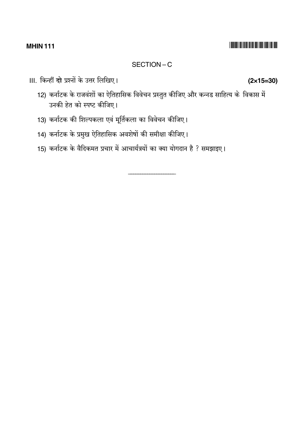#### **MHIN 111**

#### SECTION-C

III. किन्हीं **दो** प्रश्नों के उत्तर लिखिए।

- 12) कर्नाटक के राजवंशों का ऐतिहासिक विवेचन प्रस्तुत कीजिए और कन्नड साहित्य के विकास में उनकी हेत को स्पष्ट कीजिए।
- 13) कर्नाटक की शिल्पकला एवं मूर्तिकला का विवेचन कीजिए।
- 14) कर्नाटक के प्रमुख ऐतिहासिक अवशेषों की समीक्षा कीजिए।
- 15) कर्नाटक के वैदिकमत प्रचार में आचार्यत्रयों का क्या योगदान है ? समझाइए।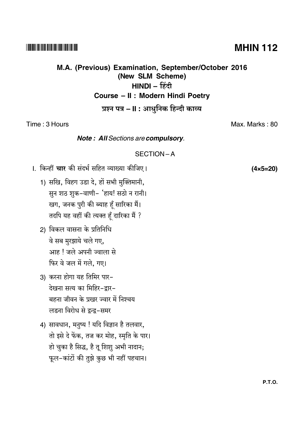#### **P.T.O.**

# **MHIN 112**

# M.A. (Previous) Examination, September/October 2016

(New SLM Scheme)

# HINDI - हिंदी

# Course - II : Modern Hindi Poetry

# प्रश्न पत्र – II : आधुनिक हिन्दी काव्य

Time: 3 Hours

Note: All Sections are compulsory.

## SECTION-A

- ।. किन्हीं **चार** की संदर्भ सहित व्याख्या कीजिए।
	- 1) सखि, विहग उडा दे, हों सभी मुक्तिमानी, सुन शठ शुक-वाणी- 'हाय! सठो न रानी। खग, जनक पुरी की ब्याह हूँ सारिका मैं। तदपि यह वहीं की त्यक्त हूँ दारिका मैं ?
	- 2) विकल वासना के प्रतिनिधि वे सब मुरझाये चले गए, आह ! जले अपनी ज्वाला से फिर वे जल में गले, गए।
	- 3) करना होगा यह तिमिर पार-देखना सत्य का मिहिर-द्रार-बहना जीवन के प्रखर ज्वार में निश्चय लडना विरोध से द्रन्द्र-समर
	- 4) सावधान, मनुष्य ! यदि विज्ञान है तलवार, तो इसे दे फेंक, तज कर मोह, स्मृति के पार। हो चुका है सिद्ध, है तू शिशु अभी नादान; फूल-कांटों की तुझे कुछ भी नहीं पहचान।

Max. Marks: 80

 $(4 \times 5 = 20)$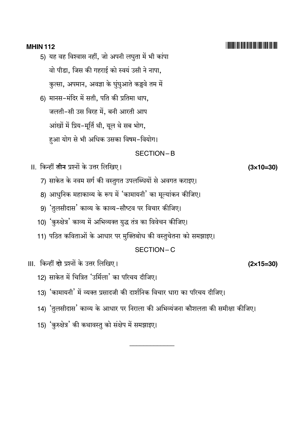#### **MHIN 112**

- 5) यह वह विश्वास नहीं, जो अपनी लघुता में भी कांपा वो पीडा, जिस की गहराई को स्वयं उसी ने नापा, कुत्सा, अपमान, अवज्ञा के घुंघुआते कड्डवे तम में
- 6) मानस-मंदिर में सती, पति की प्रतिमा थाप, जलती-सी उस विरह में, बनी आरती आप आंखों में प्रिय-मूर्ति थी, यूल थे सब भोग, हुआ योग से भी अधिक उसका विषम-वियोग।

#### SECTION-B

- II. किन्हीं **तीन** प्रश्नों के उत्तर लिखिए।
	- 7) साकेत के नवम सर्ग की वस्तुगत उपलब्धियों से अवगत कराइए।
	- 8) आधुनिक महाकाव्य के रूप में 'कामायनी' का मूल्यांकन कीजिए।
	- 9) 'तुलसीदास' काव्य के काव्य-सौष्टव पर विचार कीजिए।
	- 10) 'कुरुक्षेत्र' काव्य में अभिव्यक्त युद्ध तंत्र का विवेचन कीजिए।
	- 11) पठित कविताओं के आधार पर मुक्तिबोध की वस्तुचेतना को समझाइए।

#### SECTION-C

III. किन्हीं दो प्रश्नों के उत्तर लिखिए।

- 12) साकेत में चित्रित 'उर्मिला' का परिचय दीजिए।
- 13) 'कामायनी' में व्यक्त प्रसादजी की दार्शनिक विचार धारा का परिचय दीजिए।
- 14) 'तुलसीदास' काव्य के आधार पर निराला की अभिव्यंजना कौशलता की समीक्षा कीजिए।
- 15) 'कुरुक्षेत्र' की कथावस्तु को संक्षेप में समझाइए।

 $(3\times10=30)$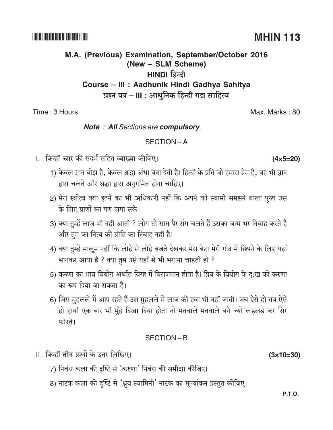**P.T.O.** 

# M.A. (Previous) Examination, September/October 2016 (New - SLM Scheme) HINDI हिन्दी Course - III : Aadhunik Hindi Gadhya Sahitya प्रश्न पत्र – III : आधुनिक हिन्दी गद्य साहित्य

Time: 3 Hours

## **Note : All Sections are compulsory.**

# SECTION-A

- ।. किन्हीं **चार** की संदर्भ सहित व्याख्या कीजिए।
	- 1) केवल ज्ञान बोझ है, केवल श्रद्धा अंधा बना देती है। हिन्दी के प्रति जो हमारा प्रेम है, वह भी ज्ञान द्वारा चलते और श्रद्धा द्वारा अनुगमित होना चाहिए।
	- 2) मेरा स्त्रीत्व क्या इतने का भी अधिकारी नहीं कि अपने को स्वामी समझने वाला पुरुष उस के लिए प्राणों का पण लगा सके।
	- 3) क्या तुम्हें लाज भी नहीं आती ? लोग तो सात पैर संग चलते हैं उसका जन्म भर निबाह करते है और तुम का नित्य की प्रीति का निबाह नहीं है।
	- 4) क्या तुम्हें मालूम नहीं कि लोहे से लोहे बजते देखकर मेरा बेटा मेरी गोद में छिपने के लिए यहाँ भागकर आया है ? क्या तुम उसे यहाँ से भी भगाना चाहती हो ?
	- 5) करुणा का भाव वियोग अर्थात विरह में विराजमान होता है। प्रिय के वियोग के दु:ख को करुणा का रूप दिया जा सकता है।
	- 6) जिस मुहलले में आप रहते हैं उस मुहलले में लाज की हवा भी नहीं जाती। जब ऐसे हो तब ऐसे हो हाय! एक बार भी मुँह दिखा दिया होता तो मतवाले मतवाले बने क्यों लड़लड़ कर सिर फोरते।

# SECTION-B

- II. किन्हीं **तीन** प्रश्नों के उत्तर लिखिए।
	- 7) निबंध कला की दृष्टि से 'करुणा' निबंध की समीक्षा कीजिए।
	- 8) नाटक कला की दृष्टि से 'ध्रुव स्वामिनी' नाटक का मूल्यांकन प्रस्तुत कीजिए।

Max. Marks: 80

 $(3 \times 10 = 30)$ 

# **MHIN 113**

## 

 $(4 \times 5 = 20)$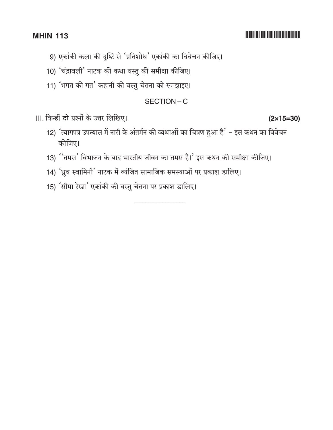#### **MHIN 113**

# 9) एकांकी कला की दृष्टि से 'प्रतिशोध' एकांकी का विवेचन कीजिए।

- 10) 'चंद्रावली' नाटक की कथा वस्तु की समीक्षा कीजिए।
- 11) 'भगत की गत' कहानी की वस्तु चेतना को समझाइए।

#### SECTION-C

।।।. किन्हीं दो प्रश्नों के उत्तर लिखिए।

- 12) 'त्यागपत्र उपन्यास में नारी के अंतर्मन की व्यथाओं का चित्रण हुआ है' इस कथन का विवेचन कीजिए।
- 13) "तमस' विभाजन के बाद भारतीय जीवन का तमस है।' इस कथन की समीक्षा कीजिए।
- 14) 'ध्रुव स्वामिनी' नाटक में व्यंजित सामाजिक समस्याओं पर प्रकाश डालिए।
- 15) 'सीमा रेखा' एकांकी की वस्तु चेतना पर प्रकाश डालिए।

 $(2\times15=30)$ 

####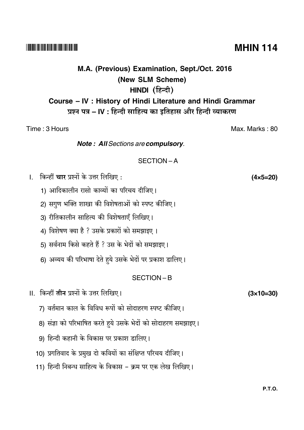#### --

# **M.A. (Previous) Examination, Sept./Oct. 2016 (New SLM Scheme) HINDI** (हिन्दी) **Course – IV : History of Hindi Literature and Hindi Grammar** प्रश्न पत्र – IV : हिन्दी साहित्य का इतिहास और हिन्दी व्याकरण

Time : 3 Hours Max. Marks : 80 *Note : All Sections are compulsory.* SECTION – A l. किन्हीं **चार** प्रश्नों के उत्तर लि **(4×5=20)** 1) आदिकालीन रासो काव्यों का परिचय दीजिए। 2) सगुण भक्ति शाखा की विशेषताओं को स्पष्ट कीजिए। 3) रीतिकालीन साहित्य की विशेषताएँ लिखिए। 4) विशेषण क्या है ? उसके प्रकारों को समझाइए । 5) सर्वनाम किसे कहते हैं ? उस के भेदों को समझाइए। 6) अव्यय की परिभाषा देते हुये उसके भेदों पर प्रकाश डालिए। SECTION – B II. किन्हीं <mark>तीन</mark> प्रश्नों के उत्तर लि ! **(3×10=30)** 7) वर्तमान काल के विविध रूपों को सोदाहरण स्पष्ट कीजिए। 8) संज्ञा को परिभाषित करते हुये उसके भेदों को सोदाहरण समझाइए। 9) हिन्दी कहानी के विकास पर प्रकाश डालिए। 10) प्रगतिवाद के प्रमुख दो कवियों का संक्षिप्त परिचय दीजिए।

11) हिन्दी निबन्ध साहित्य के विकास – क्रम पर एक लेख लिखिए।

# **MHIN 114**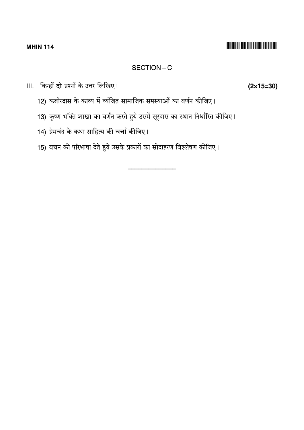## SECTION-C

III. किन्हीं **दो** प्रश्नों के उत्तर लिखिए।

- 12) कबीरदास के काव्य में व्यंजित सामाजिक समस्याओं का वर्णन कीजिए।
- 13) कृष्ण भक्ति शाखा का वर्णन करते हुये उसमें सूरदास का स्थान निर्धारित कीजिए।
- 14) प्रेमचंद के कथा साहित्य की चर्चा कीजिए।
- 15) वचन की परिभाषा देते हुये उसके प्रकारों का सोदाहरण विश्लेषण कीजिए।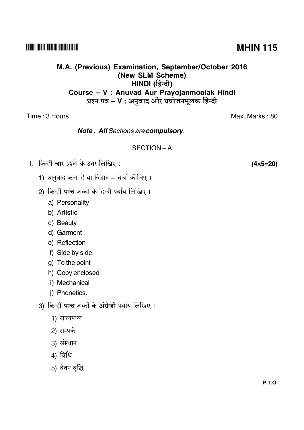#### 

## M.A. (Previous) Examination, September/October 2016 (New SLM Scheme) HINDI (हिन्दी) Course - V : Anuvad Aur Prayojanmoolak Hindi प्रश्न पत्र – V : अनुवाद और प्रयोजनमूलक हिन्दी

Time : 3 Hours

**Note: All Sections are compulsory.** 

#### SECTION-A

।. किन्हीं **चार** प्रश्नों के उत्तर लिखिए :

- 1) अनुवाद कला है या विज्ञान चर्चा कीजिए।
- 2) किन्हीं **पाँच** शब्दों के हिन्दी पर्याय लिखिए ।
	- a) Personality
	- b) Artistic
	- c) Beauty
	- d) Garment
	- e) Reflection
	- f) Side by side
	- g) To the point
	- h) Copy enclosed
	- i) Mechanical
	- j) Phonetics.
- 3) किन्हीं पाँच शब्दों के अंग्रेजी पर्याय लिखिए।
	- 1) राज्यपाल
	- 2) सम्पर्क
	- 3) संस्थान
	- 4) विधि
	- 5) वेतन वृद्धि

**MHIN 115** 

Max Marks 80

 $(4 \times 5 = 20)$